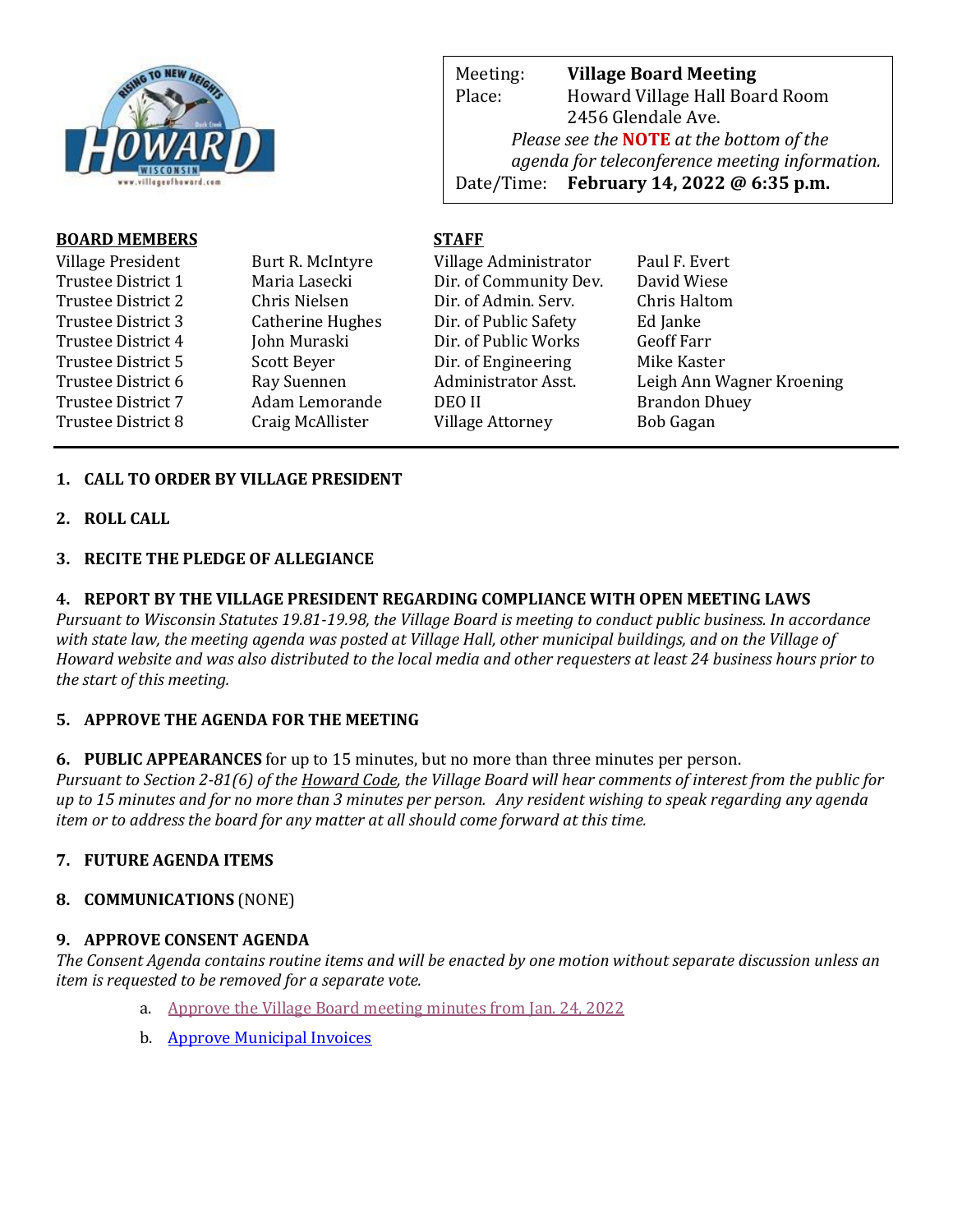

Meeting: **Village Board Meeting** Place: Howard Village Hall Board Room 2456 Glendale Ave. *Please see the* **NOTE** *at the bottom of the agenda for teleconference meeting information.*  Date/Time: **February 14, 2022 @ 6:35 p.m.**

web Page: www.villageoff.com

# **BOARD MEMBERS STAFF**

| Village President  | Burt R. McIntyre        | Village Administrator   | Paul F. Evert             |
|--------------------|-------------------------|-------------------------|---------------------------|
| Trustee District 1 | Maria Lasecki           | Dir. of Community Dev.  | David Wiese               |
| Trustee District 2 | Chris Nielsen           | Dir. of Admin. Serv.    | Chris Haltom              |
| Trustee District 3 | <b>Catherine Hughes</b> | Dir. of Public Safety   | Ed Janke                  |
| Trustee District 4 | John Muraski            | Dir. of Public Works    | <b>Geoff Farr</b>         |
| Trustee District 5 | Scott Beyer             | Dir. of Engineering     | Mike Kaster               |
| Trustee District 6 | Ray Suennen             | Administrator Asst.     | Leigh Ann Wagner Kroening |
| Trustee District 7 | Adam Lemorande          | DEO II                  | <b>Brandon Dhuey</b>      |
| Trustee District 8 | Craig McAllister        | <b>Village Attorney</b> | <b>Bob Gagan</b>          |
|                    |                         |                         |                           |

# **1. CALL TO ORDER BY VILLAGE PRESIDENT**

**2. ROLL CALL**

#### **3. RECITE THE PLEDGE OF ALLEGIANCE**

#### **4. REPORT BY THE VILLAGE PRESIDENT REGARDING COMPLIANCE WITH OPEN MEETING LAWS**

*Pursuant to Wisconsin Statutes 19.81-19.98, the Village Board is meeting to conduct public business. In accordance with state law, the meeting agenda was posted at Village Hall, other municipal buildings, and on the Village of Howard website and was also distributed to the local media and other requesters at least 24 business hours prior to the start of this meeting.* 

## **5. APPROVE THE AGENDA FOR THE MEETING**

**6. PUBLIC APPEARANCES** for up to 15 minutes, but no more than three minutes per person.

*Pursuant to Section 2-81(6) of the Howard Code, the Village Board will hear comments of interest from the public for up to 15 minutes and for no more than 3 minutes per person. Any resident wishing to speak regarding any agenda item or to address the board for any matter at all should come forward at this time.* 

## **7. FUTURE AGENDA ITEMS**

## **8. COMMUNICATIONS** (NONE)

#### **9. APPROVE CONSENT AGENDA**

*The Consent Agenda contains routine items and will be enacted by one motion without separate discussion unless an item is requested to be removed for a separate vote.*

- a. [Approve the Village Board meeting](https://www.villageofhoward.com/DocumentCenter/View/8125/9a-Village-Board-Minutes-1-24-2022-) minutes from Jan. 24, 2022
- b. [Approve Municipal Invoices](https://www.villageofhoward.com/DocumentCenter/View/8126/9b-Municipal-Invoices)